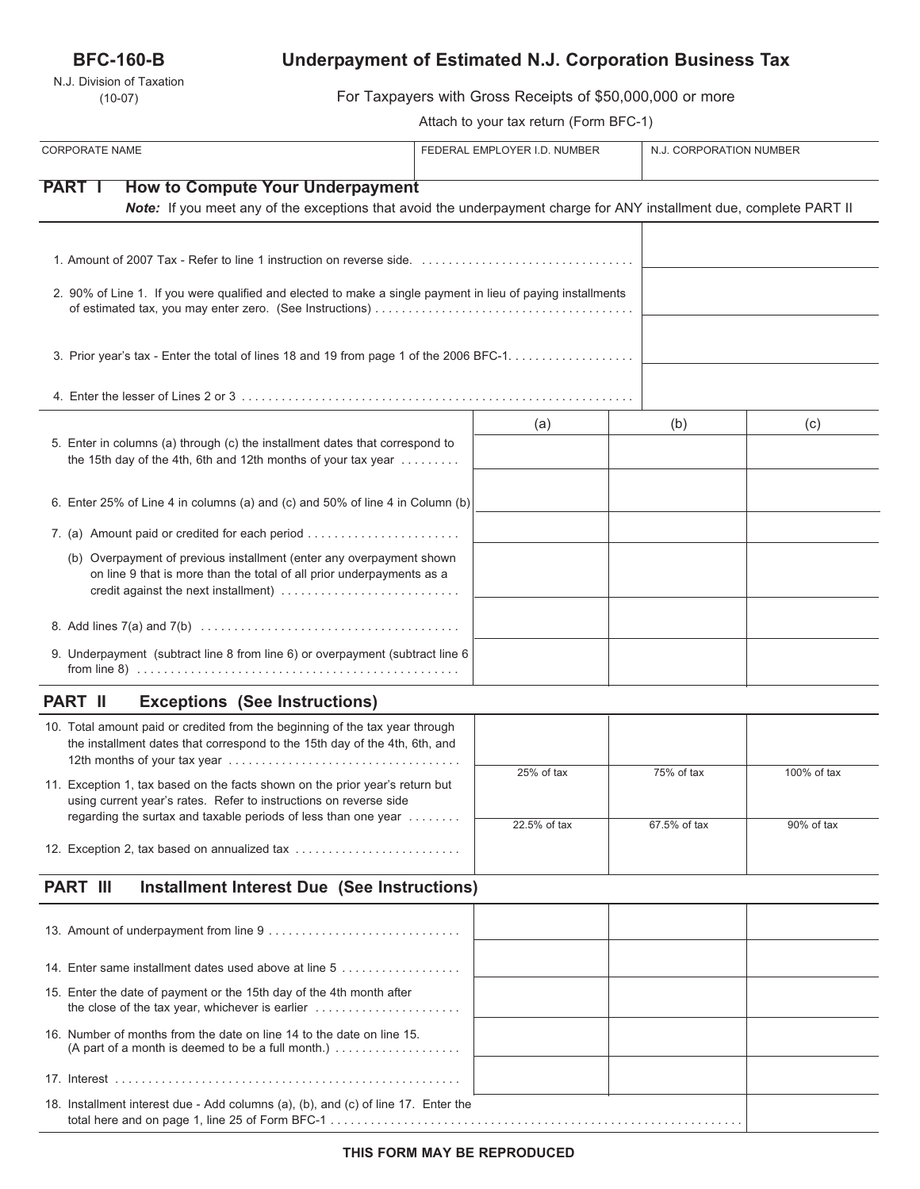## **BFC-160-B**

N.J. Division of Taxation (10-07)

# **Underpayment of Estimated N.J. Corporation Business Tax**

For Taxpayers with Gross Receipts of \$50,000,000 or more

Attach to your tax return (Form BFC-1)

| <b>CORPORATE NAME</b>                                                                                                                                                                 | FEDERAL EMPLOYER I.D. NUMBER |              | N.J. CORPORATION NUMBER |  |
|---------------------------------------------------------------------------------------------------------------------------------------------------------------------------------------|------------------------------|--------------|-------------------------|--|
| <b>PART I</b><br><b>How to Compute Your Underpayment</b>                                                                                                                              |                              |              |                         |  |
| Note: If you meet any of the exceptions that avoid the underpayment charge for ANY installment due, complete PART II                                                                  |                              |              |                         |  |
|                                                                                                                                                                                       |                              |              |                         |  |
| 2. 90% of Line 1. If you were qualified and elected to make a single payment in lieu of paying installments                                                                           |                              |              |                         |  |
| 3. Prior year's tax - Enter the total of lines 18 and 19 from page 1 of the 2006 BFC-1.                                                                                               |                              |              |                         |  |
|                                                                                                                                                                                       |                              |              |                         |  |
|                                                                                                                                                                                       | (a)                          | (b)          | (c)                     |  |
| 5. Enter in columns (a) through (c) the installment dates that correspond to<br>the 15th day of the 4th, 6th and 12th months of your tax year                                         |                              |              |                         |  |
| 6. Enter 25% of Line 4 in columns (a) and (c) and 50% of line 4 in Column (b)                                                                                                         |                              |              |                         |  |
| 7. (a) Amount paid or credited for each period                                                                                                                                        |                              |              |                         |  |
| (b) Overpayment of previous installment (enter any overpayment shown<br>on line 9 that is more than the total of all prior underpayments as a<br>credit against the next installment) |                              |              |                         |  |
|                                                                                                                                                                                       |                              |              |                         |  |
| 9. Underpayment (subtract line 8 from line 6) or overpayment (subtract line 6                                                                                                         |                              |              |                         |  |
| <b>PART II</b><br><b>Exceptions (See Instructions)</b>                                                                                                                                |                              |              |                         |  |
| 10. Total amount paid or credited from the beginning of the tax year through<br>the installment dates that correspond to the 15th day of the 4th, 6th, and                            |                              |              |                         |  |
| 11. Exception 1, tax based on the facts shown on the prior year's return but<br>using current year's rates. Refer to instructions on reverse side                                     | 25% of tax                   | 75% of tax   | 100% of tax             |  |
| regarding the surtax and taxable periods of less than one year                                                                                                                        | 22.5% of tax                 | 67.5% of tax | 90% of tax              |  |
| 12. Exception 2, tax based on annualized tax                                                                                                                                          |                              |              |                         |  |
| <b>PART III</b><br><b>Installment Interest Due (See Instructions)</b>                                                                                                                 |                              |              |                         |  |
|                                                                                                                                                                                       |                              |              |                         |  |
| 14. Enter same installment dates used above at line 5                                                                                                                                 |                              |              |                         |  |
| 15. Enter the date of payment or the 15th day of the 4th month after                                                                                                                  |                              |              |                         |  |
| 16. Number of months from the date on line 14 to the date on line 15.<br>(A part of a month is deemed to be a full month.) $\ldots$                                                   |                              |              |                         |  |
|                                                                                                                                                                                       |                              |              |                         |  |
| 18. Installment interest due - Add columns (a), (b), and (c) of line 17. Enter the                                                                                                    |                              |              |                         |  |